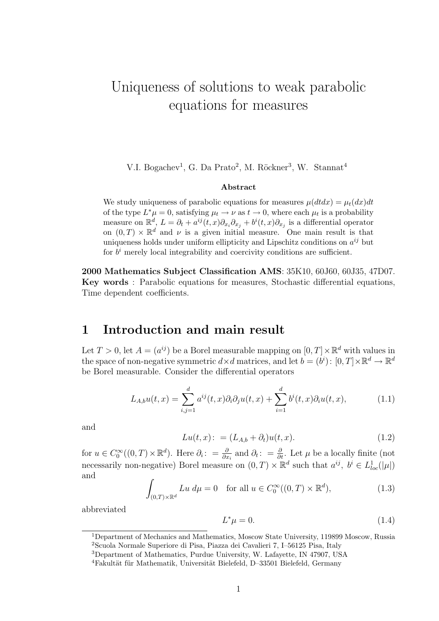# Uniqueness of solutions to weak parabolic equations for measures

V.I. Bogachev<sup>1</sup>, G. Da Prato<sup>2</sup>, M. Röckner<sup>3</sup>, W. Stannat<sup>4</sup>

### Abstract

We study uniqueness of parabolic equations for measures  $\mu(dtdx) = \mu_t(dx)dt$ of the type  $L^*\mu = 0$ , satisfying  $\mu_t \to \nu$  as  $t \to 0$ , where each  $\mu_t$  is a probability measure on  $\mathbb{R}^d$ ,  $L = \partial_t + a^{ij}(t, x)\partial_{x_i}\partial_{x_j} + b^i(t, x)\partial_{x_j}$  is a differential operator on  $(0, T) \times \mathbb{R}^d$  and  $\nu$  is a given initial measure. One main result is that uniqueness holds under uniform ellipticity and Lipschitz conditions on  $a^{ij}$  but for  $b^i$  merely local integrability and coercivity conditions are sufficient.

2000 Mathematics Subject Classification AMS: 35K10, 60J60, 60J35, 47D07. Key words : Parabolic equations for measures, Stochastic differential equations, Time dependent coefficients.

### 1 Introduction and main result

Let  $T > 0$ , let  $A = (a^{ij})$  be a Borel measurable mapping on  $[0, T] \times \mathbb{R}^d$  with values in the space of non-negative symmetric  $d \times d$  matrices, and let  $b = (b^i) : [0, T] \times \mathbb{R}^d \to \mathbb{R}^d$ be Borel measurable. Consider the differential operators

$$
L_{A,b}u(t,x) = \sum_{i,j=1}^{d} a^{ij}(t,x)\partial_i\partial_j u(t,x) + \sum_{i=1}^{d} b^i(t,x)\partial_i u(t,x),\tag{1.1}
$$

and

$$
Lu(t, x) := (L_{A,b} + \partial_t)u(t, x).
$$
 (1.2)

for  $u \in C_0^{\infty}((0,T) \times \mathbb{R}^d)$ . Here  $\partial_i: = \frac{\partial}{\partial x_i}$  and  $\partial_t: = \frac{\partial}{\partial t}$ . Let  $\mu$  be a locally finite (not necessarily non-negative) Borel measure on  $(0,T) \times \mathbb{R}^d$  such that  $a^{ij}$ ,  $b^i \in L^1_{loc}(|\mu|)$ and

$$
\int_{(0,T)\times\mathbb{R}^d} Lu \, d\mu = 0 \quad \text{for all } u \in C_0^{\infty}((0,T)\times\mathbb{R}^d),\tag{1.3}
$$

abbreviated

$$
L^*\mu = 0.\t\t(1.4)
$$

<sup>&</sup>lt;sup>1</sup>Department of Mechanics and Mathematics, Moscow State University, 119899 Moscow, Russia <sup>2</sup>Scuola Normale Superiore di Pisa, Piazza dei Cavalieri 7, I–56125 Pisa, Italy

<sup>3</sup>Department of Mathematics, Purdue University, W. Lafayette, IN 47907, USA

<sup>&</sup>lt;sup>4</sup>Fakultät für Mathematik, Universität Bielefeld, D–33501 Bielefeld, Germany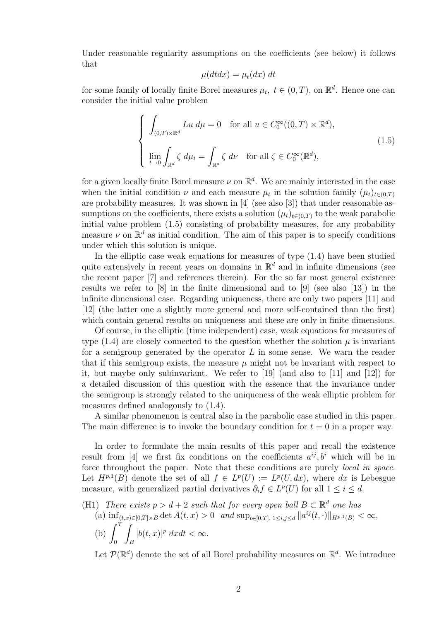Under reasonable regularity assumptions on the coefficients (see below) it follows that

$$
\mu(dt dx) = \mu_t(dx) dt
$$

for some family of locally finite Borel measures  $\mu_t$ ,  $t \in (0, T)$ , on  $\mathbb{R}^d$ . Hence one can consider the initial value problem

$$
\begin{cases}\n\int_{(0,T)\times\mathbb{R}^d} Lu \, d\mu = 0 \quad \text{for all } u \in C_0^{\infty}((0,T)\times\mathbb{R}^d), \\
\lim_{t \to 0} \int_{\mathbb{R}^d} \zeta \, d\mu_t = \int_{\mathbb{R}^d} \zeta \, d\nu \quad \text{for all } \zeta \in C_0^{\infty}(\mathbb{R}^d),\n\end{cases} (1.5)
$$

for a given locally finite Borel measure  $\nu$  on  $\mathbb{R}^d$ . We are mainly interested in the case when the initial condition  $\nu$  and each measure  $\mu_t$  in the solution family  $(\mu_t)_{t\in(0,T)}$ are probability measures. It was shown in [4] (see also [3]) that under reasonable assumptions on the coefficients, there exists a solution  $(\mu_t)_{t\in(0,T)}$  to the weak parabolic initial value problem (1.5) consisting of probability measures, for any probability measure  $\nu$  on  $\mathbb{R}^d$  as initial condition. The aim of this paper is to specify conditions under which this solution is unique.

In the elliptic case weak equations for measures of type (1.4) have been studied quite extensively in recent years on domains in  $\mathbb{R}^d$  and in infinite dimensions (see the recent paper [7] and references therein). For the so far most general existence results we refer to [8] in the finite dimensional and to [9] (see also [13]) in the infinite dimensional case. Regarding uniqueness, there are only two papers [11] and [12] (the latter one a slightly more general and more self-contained than the first) which contain general results on uniqueness and these are only in finite dimensions.

Of course, in the elliptic (time independent) case, weak equations for measures of type  $(1.4)$  are closely connected to the question whether the solution  $\mu$  is invariant for a semigroup generated by the operator  $L$  in some sense. We warn the reader that if this semigroup exists, the measure  $\mu$  might not be invariant with respect to it, but maybe only subinvariant. We refer to [19] (and also to [11] and [12]) for a detailed discussion of this question with the essence that the invariance under the semigroup is strongly related to the uniqueness of the weak elliptic problem for measures defined analogously to (1.4).

A similar phenomenon is central also in the parabolic case studied in this paper. The main difference is to invoke the boundary condition for  $t = 0$  in a proper way.

In order to formulate the main results of this paper and recall the existence result from [4] we first fix conditions on the coefficients  $a^{ij}, b^i$  which will be in force throughout the paper. Note that these conditions are purely *local in space*. Let  $H^{p,1}(B)$  denote the set of all  $f \in L^p(U) := L^p(U, dx)$ , where dx is Lebesgue measure, with generalized partial derivatives  $\partial_i f \in L^p(U)$  for all  $1 \leq i \leq d$ .

(H1) There exists  $p > d + 2$  such that for every open ball  $B \subset \mathbb{R}^d$  one has

(a)  $\inf_{(t,x)\in[0,T]\times B} \det A(t,x) > 0$  and  $\sup_{t\in[0,T], 1\leq i,j\leq d} ||a^{ij}(t,\cdot)||_{H^{p,1}(B)} < \infty$ , (b)  $\int_0^T$ 0 Z B  $|b(t, x)|^p dx dt < \infty.$ 

Let  $\mathcal{P}(\mathbb{R}^d)$  denote the set of all Borel probability measures on  $\mathbb{R}^d$ . We introduce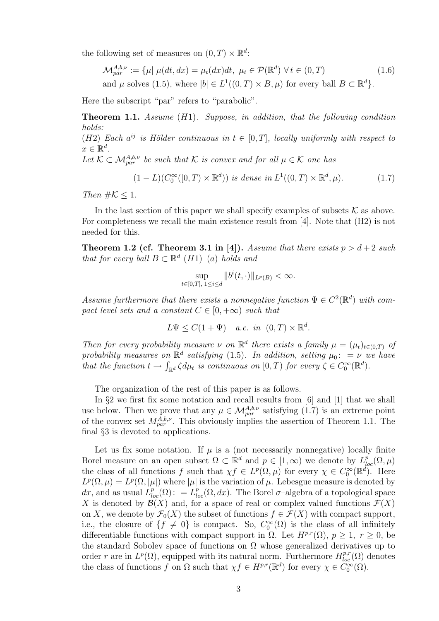the following set of measures on  $(0, T) \times \mathbb{R}^d$ :

$$
\mathcal{M}_{par}^{A,b,\nu} := \{ \mu | \mu(dt, dx) = \mu_t(dx)dt, \ \mu_t \in \mathcal{P}(\mathbb{R}^d) \ \forall t \in (0, T)
$$
\nand  $\mu$  solves (1.5), where  $|b| \in L^1((0, T) \times B, \mu)$  for every ball  $B \subset \mathbb{R}^d \}$ . (1.6)

Here the subscript "par" refers to "parabolic".

Theorem 1.1. Assume (H1). Suppose, in addition, that the following condition holds:

(H2) Each  $a^{ij}$  is Hölder continuous in  $t \in [0,T]$ , locally uniformly with respect to  $x \in \mathbb{R}^d$ .

Let  $\mathcal{K} \subset \mathcal{M}_{par}^{A,b,\nu}$  be such that K is convex and for all  $\mu \in \mathcal{K}$  one has

$$
(1 - L)(C_0^{\infty}([0, T) \times \mathbb{R}^d)) \text{ is dense in } L^1((0, T) \times \mathbb{R}^d, \mu). \tag{1.7}
$$

Then  $\#\mathcal{K} \leq 1$ .

In the last section of this paper we shall specify examples of subsets  $K$  as above. For completeness we recall the main existence result from [4]. Note that (H2) is not needed for this.

**Theorem 1.2 (cf. Theorem 3.1 in [4]).** Assume that there exists  $p > d+2$  such that for every ball  $B \subset \mathbb{R}^d$  (H1)–(a) holds and

$$
\sup_{t\in[0,T],\;1\leq i\leq d}\|b^i(t,\cdot)\|_{L^p(B)}<\infty.
$$

Assume furthermore that there exists a nonnegative function  $\Psi \in C^2(\mathbb{R}^d)$  with compact level sets and a constant  $C \in [0, +\infty)$  such that

 $L\Psi \leq C(1+\Psi)$  a.e. in  $(0,T) \times \mathbb{R}^d$ .

Then for every probability measure  $\nu$  on  $\mathbb{R}^d$  there exists a family  $\mu = (\mu_t)_{t \in (0,T)}$  of probability measures on  $\mathbb{R}^d$  satisfying (1.5). In addition, setting  $\mu_0$ : = ν we have that the function  $t \to \int_{\mathbb{R}^d} \zeta d\mu_t$  is continuous on  $[0, T)$  for every  $\zeta \in C_0^{\infty}(\mathbb{R}^d)$ .

The organization of the rest of this paper is as follows.

In §2 we first fix some notation and recall results from [6] and [1] that we shall use below. Then we prove that any  $\mu \in \mathcal{M}_{par}^{A,b,\nu}$  satisfying  $(1.7)$  is an extreme point of the convex set  $M_{par}^{A,b,\nu}$ . This obviously implies the assertion of Theorem 1.1. The final §3 is devoted to applications.

Let us fix some notation. If  $\mu$  is a (not necessarily nonnegative) locally finite Borel measure on an open subset  $\Omega \subset \mathbb{R}^d$  and  $p \in [1,\infty)$  we denote by  $L^p_{loc}(\Omega,\mu)$ the class of all functions f such that  $\chi f \in L^p(\Omega, \mu)$  for every  $\chi \in C_0^{\infty}(\mathbb{R}^d)$ . Here  $L^p(\Omega,\mu) = L^p(\Omega,|\mu|)$  where  $|\mu|$  is the variation of  $\mu$ . Lebesgue measure is denoted by dx, and as usual  $L_{loc}^p(\Omega)$ : =  $L_{loc}^p(\Omega, dx)$ . The Borel  $\sigma$ -algebra of a topological space X is denoted by  $\mathcal{B}(X)$  and, for a space of real or complex valued functions  $\mathcal{F}(X)$ on X, we denote by  $\mathcal{F}_0(X)$  the subset of functions  $f \in \mathcal{F}(X)$  with compact support, i.e., the closure of  $\{f \neq 0\}$  is compact. So,  $C_0^{\infty}(\Omega)$  is the class of all infinitely differentiable functions with compact support in  $\Omega$ . Let  $H^{p,r}(\Omega)$ ,  $p \geq 1$ ,  $r \geq 0$ , be the standard Sobolev space of functions on  $\Omega$  whose generalized derivatives up to order r are in  $L^p(\Omega)$ , equipped with its natural norm. Furthermore  $H^{p,r}_{loc}(\Omega)$  denotes the class of functions f on  $\Omega$  such that  $\chi f \in H^{p,r}(\mathbb{R}^d)$  for every  $\chi \in C_0^{\infty}(\Omega)$ .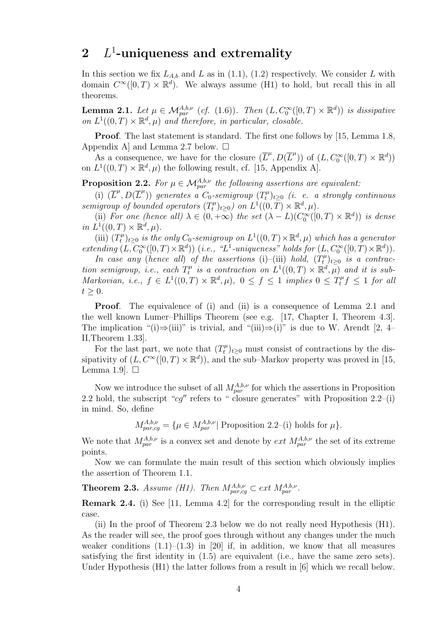## $2$   $L^1$ -uniqueness and extremality

In this section we fix  $L_{A,b}$  and L as in (1.1), (1.2) respectively. We consider L with domain  $C^{\infty}([0,T) \times \mathbb{R}^d)$ . We always assume (H1) to hold, but recall this in all theorems.

**Lemma 2.1.** Let  $\mu \in \mathcal{M}_{par}^{A,b,\nu}$  (cf. (1.6)). Then  $(L, C_0^{\infty}([0, T) \times \mathbb{R}^d))$  is dissipative on  $L^1((0,T)\times \mathbb{R}^d, \mu)$  and therefore, in particular, closable.

Proof. The last statement is standard. The first one follows by [15, Lemma 1.8, Appendix A and Lemma 2.7 below.  $\square$ 

As a consequence, we have for the closure  $(\overline{L}^{\mu}, D(\overline{L}^{\mu}))$  of  $(L, C_0^{\infty}([0, T) \times \mathbb{R}^d))$ on  $L^1((0,T)\times \mathbb{R}^d, \mu)$  the following result, cf. [15, Appendix A].

**Proposition 2.2.** For  $\mu \in \mathcal{M}_{par}^{A,b,\nu}$  the following assertions are equivalent:

(i)  $(\overline{L}^{\mu}, D(\overline{L}^{\mu}))$  generates a  $C_0$ -semigroup  $(T_t^{\mu})$  $\hat{t}^{\mu}_{t}$ ) $_{t\geq0}$  (i. e. a strongly continuous semigroup of bounded operators  $(T_t^{\mu})$  $(t<sup>\mu</sup>)<sub>t\geq0</sub>$  on  $L<sup>1</sup>((0,\overline{T}) \times \mathbb{R}^d, \mu)$ .

(ii) For one (hence all)  $\lambda \in (0, +\infty)$  the set  $(\lambda - L)(C_0^{\infty}([0, T) \times \mathbb{R}^d))$  is dense in  $L^1((0,T)\times \mathbb{R}^d, \mu)$ .

(iii)  $(T_t^{\mu}$  $\mathcal{L}_t^{\mu}$ <sub>t</sub>)<sub>t≥0</sub> is the only C<sub>0</sub>-semigroup on  $L^1((0,T)\times \mathbb{R}^d, \mu)$  which has a generator extending  $(L, C_0^{\infty}([0, T) \times \mathbb{R}^d))$  (i.e., "L<sup>1</sup>-uniqueness" holds for  $(L, C_0^{\infty}([0, T) \times \mathbb{R}^d))$ .

In case any (hence all) of the assertions (i)–(iii) hold,  $(T_t^{\mu})$  $(t<sub>t</sub><sup>\mu</sup>)<sub>t\geq0</sub>$  is a contraction semigroup, i.e., each  $T_t^{\mu}$  $\mathcal{L}_t^{\mu}$  is a contraction on  $L^1((0,T)\times \mathbb{R}^d, \mu)$  and it is sub-Markovian, i.e.,  $f \in L^1((0,T) \times \mathbb{R}^d, \mu)$ ,  $0 \le f \le 1$  implies  $0 \le T_t^{\mu} f \le 1$  for all  $t \geq 0$ .

**Proof.** The equivalence of (i) and (ii) is a consequence of Lemma 2.1 and the well known Lumer–Phillips Theorem (see e.g. [17, Chapter I, Theorem 4.3]. The implication "(i)⇒(iii)" is trivial, and "(iii)⇒(i)" is due to W. Arendt [2, 4– II,Theorem 1.33].

For the last part, we note that  $(T_t^{\mu})$  $(t<sup>\mu</sup>)_{t\geq 0}$  must consist of contractions by the dissipativity of  $(L, C^{\infty}([0, T) \times \mathbb{R}^d))$ , and the sub–Markov property was proved in [15, Lemma 1.9.  $\Box$ 

Now we introduce the subset of all  $M_{par}^{A,b,\nu}$  for which the assertions in Proposition 2.2 hold, the subscript " $cg''$  refers to " closure generates" with Proposition 2.2–(i) in mind. So, define

$$
M_{par, cg}^{A,b,\nu} = \{ \mu \in M_{par}^{A,b,\nu} | \text{ Proposition 2.2–(i) holds for } \mu \}.
$$

We note that  $M_{par}^{A,b,\nu}$  is a convex set and denote by *ext*  $M_{par}^{A,b,\nu}$  the set of its extreme points.

Now we can formulate the main result of this section which obviously implies the assertion of Theorem 1.1.

**Theorem 2.3.** Assume (H1). Then  $M_{par, cg}^{A,b,\nu} \subset ext M_{par}^{A,b,\nu}$ .

Remark 2.4. (i) See [11, Lemma 4.2] for the corresponding result in the elliptic case.

(ii) In the proof of Theorem 2.3 below we do not really need Hypothesis (H1). As the reader will see, the proof goes through without any changes under the much weaker conditions  $(1.1)$ – $(1.3)$  in [20] if, in addition, we know that all measures satisfying the first identity in (1.5) are equivalent (i.e., have the same zero sets). Under Hypothesis (H1) the latter follows from a result in [6] which we recall below.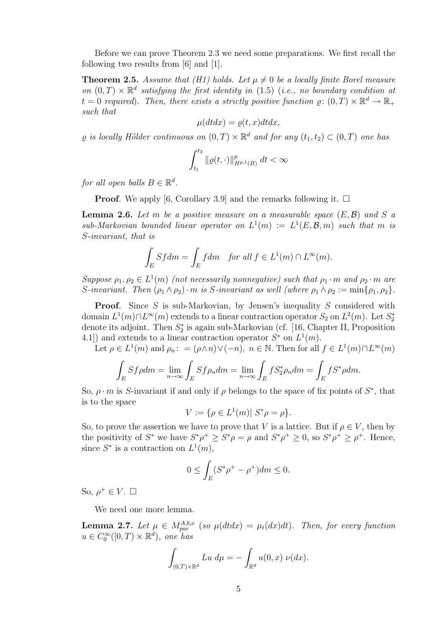Before we can prove Theorem 2.3 we need some preparations. We first recall the following two results from [6] and [1].

**Theorem 2.5.** Assume that (H1) holds. Let  $\mu \neq 0$  be a locally finite Borel measure on  $(0,T) \times \mathbb{R}^d$  satisfying the first identity in (1.5) (i.e., no boundary condition at  $t = 0$  required). Then, there exists a strictly positive function  $\rho: (0, T) \times \mathbb{R}^d \to \mathbb{R}_+$ such that

$$
\mu(dt dx) = \varrho(t, x) dt dx,
$$

 $\varrho$  is locally Hölder continuous on  $(0,T) \times \mathbb{R}^d$  and for any  $(t_1,t_2) \subset (0,T)$  one has

$$
\int_{t_1}^{t_2} \| \varrho(t, \cdot) \|_{H^{p,1}(B)}^p \, dt < \infty
$$

for all open balls  $B \in \mathbb{R}^d$ .

**Proof.** We apply [6, Corollary 3.9] and the remarks following it.  $\Box$ 

**Lemma 2.6.** Let m be a positive measure on a measurable space  $(E, \mathcal{B})$  and S a  $sub-Markovian$  bounded linear operator on  $L^1(m) := L^1(E, \mathcal{B}, m)$  such that m is S-invariant, that is

$$
\int_E Sf dm = \int_E f dm \quad \text{for all } f \in L^1(m) \cap L^\infty(m).
$$

Suppose  $\rho_1, \rho_2 \in L^1(m)$  (not necessarily nonnegative) such that  $\rho_1 \cdot m$  and  $\rho_2 \cdot m$  are S-invariant. Then  $(\rho_1 \wedge \rho_2) \cdot m$  is S-invariant as well (where  $\rho_1 \wedge \rho_2 := \min{\{\rho_1, \rho_2\}}$ .

**Proof.** Since  $S$  is sub-Markovian, by Jensen's inequality  $S$  considered with domain  $L^1(m) \cap L^\infty(m)$  extends to a linear contraction operator  $S_2$  on  $L^2(m)$ . Let  $S_2^*$ denote its adjoint. Then  $S_2^*$  is again sub-Markovian (cf. [16, Chapter II, Proposition 4.1]) and extends to a linear contraction operator  $S^*$  on  $L^1(m)$ .

Let  $\rho \in L^1(m)$  and  $\rho_n: = (\rho \wedge n) \vee (-n)$ ,  $n \in \mathbb{N}$ . Then for all  $f \in L^1(m) \cap L^{\infty}(m)$ 

$$
\int_{E} Sf\rho dm = \lim_{n \to \infty} \int_{E} Sf\rho_n dm = \lim_{n \to \infty} \int_{E} fS_2^*\rho_n dm = \int_{E} fS^*\rho dm.
$$

So,  $\rho \cdot m$  is S-invariant if and only if  $\rho$  belongs to the space of fix points of  $S^*$ , that is to the space

$$
V := \{ \rho \in L^1(m) | S^* \rho = \rho \}.
$$

So, to prove the assertion we have to prove that V is a lattice. But if  $\rho \in V$ , then by the positivity of  $S^*$  we have  $S^*\rho^+ \geq S^*\rho = \rho$  and  $S^*\rho^+ \geq 0$ , so  $S^*\rho^+ \geq \rho^+$ . Hence, since  $S^*$  is a contraction on  $L^1(m)$ ,

$$
0 \le \int_E (S^* \rho^+ - \rho^+) dm \le 0.
$$

So,  $\rho^+ \in V$ .  $\Box$ 

We need one more lemma.

**Lemma 2.7.** Let  $\mu \in M_{par}^{A,b,\nu}$  (so  $\mu(dtdx) = \mu_t(dx)dt$ ). Then, for every function  $u \in C_0^{\infty}([0, T) \times \mathbb{R}^d)$ , one has

$$
\int_{(0,T)\times\mathbb{R}^d} Lu \, d\mu = -\int_{\mathbb{R}^d} u(0,x) \, \nu(dx).
$$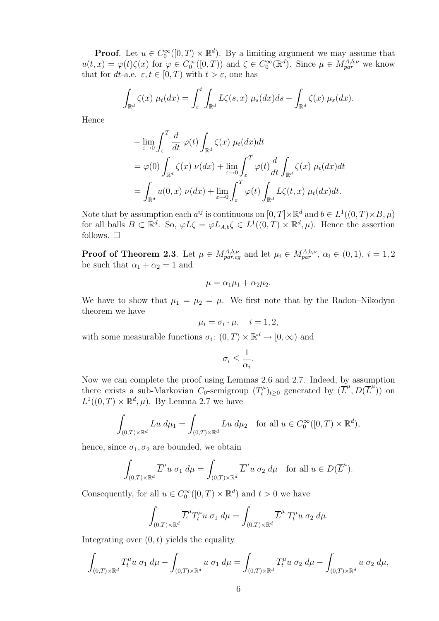**Proof.** Let  $u \in C_0^{\infty}([0, T) \times \mathbb{R}^d)$ . By a limiting argument we may assume that  $u(t,x) = \varphi(t)\zeta(x)$  for  $\varphi \in C_0^{\infty}([0,T))$  and  $\zeta \in C_0^{\infty}(\mathbb{R}^d)$ . Since  $\mu \in M_{par}^{A,b,\nu}$  we know that for dt-a.e.  $\varepsilon, t \in [0, T)$  with  $t > \varepsilon$ , one has

$$
\int_{\mathbb{R}^d} \zeta(x) \mu_t(dx) = \int_{\varepsilon}^t \int_{\mathbb{R}^d} L\zeta(s,x) \mu_s(dx)ds + \int_{\mathbb{R}^d} \zeta(x) \mu_{\varepsilon}(dx).
$$

Hence

$$
-\lim_{\varepsilon \to 0} \int_{\varepsilon}^{T} \frac{d}{dt} \varphi(t) \int_{\mathbb{R}^{d}} \zeta(x) \mu_{t}(dx) dt
$$
  
=  $\varphi(0) \int_{\mathbb{R}^{d}} \zeta(x) \nu(dx) + \lim_{\varepsilon \to 0} \int_{\varepsilon}^{T} \varphi(t) \frac{d}{dt} \int_{\mathbb{R}^{d}} \zeta(x) \mu_{t}(dx) dt$   
=  $\int_{\mathbb{R}^{d}} u(0, x) \nu(dx) + \lim_{\varepsilon \to 0} \int_{\varepsilon}^{T} \varphi(t) \int_{\mathbb{R}^{d}} L\zeta(t, x) \mu_{t}(dx) dt.$ 

Note that by assumption each  $a^{ij}$  is continuous on  $[0,T] \times \mathbb{R}^d$  and  $b \in L^1((0,T) \times B, \mu)$ for all balls  $B \subset \mathbb{R}^d$ . So,  $\varphi L \zeta = \varphi L_{A,b} \zeta \in L^1((0,T) \times \mathbb{R}^d, \mu)$ . Hence the assertion follows.  $\square$ 

**Proof of Theorem 2.3**. Let  $\mu \in M_{par,cg}^{A,b,\nu}$  and let  $\mu_i \in M_{par}^{A,b,\nu}, \alpha_i \in (0,1), i = 1,2$ be such that  $\alpha_1 + \alpha_2 = 1$  and

$$
\mu = \alpha_1 \mu_1 + \alpha_2 \mu_2.
$$

We have to show that  $\mu_1 = \mu_2 = \mu$ . We first note that by the Radon–Nikodym theorem we have

$$
\mu_i = \sigma_i \cdot \mu, \quad i = 1, 2,
$$

with some measurable functions  $\sigma_i: (0,T) \times \mathbb{R}^d \to [0,\infty)$  and

$$
\sigma_i \leq \frac{1}{\alpha_i}.
$$

Now we can complete the proof using Lemmas 2.6 and 2.7. Indeed, by assumption there exists a sub-Markovian  $C_0$ -semigroup  $(T_t^{\mu})$  $(\mathcal{L}^{\mu}_{t})_{t\geq 0}$  generated by  $(\mathcal{L}^{\mu}, D(\mathcal{L}^{\mu}))$  on  $L^1((0,T)\times \mathbb{R}^d, \mu)$ . By Lemma 2.7 we have

$$
\int_{(0,T)\times\mathbb{R}^d} Lu \, d\mu_1 = \int_{(0,T)\times\mathbb{R}^d} Lu \, d\mu_2 \quad \text{for all } u \in C_0^{\infty}([0,T)\times\mathbb{R}^d),
$$

hence, since  $\sigma_1, \sigma_2$  are bounded, we obtain

$$
\int_{(0,T)\times\mathbb{R}^d} \overline{L}^\mu u \; \sigma_1 \; d\mu = \int_{(0,T)\times\mathbb{R}^d} \overline{L}^\mu u \; \sigma_2 \; d\mu \quad \text{for all } u \in D(\overline{L}^\mu).
$$

Consequently, for all  $u \in C_0^{\infty}([0, T) \times \mathbb{R}^d)$  and  $t > 0$  we have

$$
\int_{(0,T)\times\mathbb{R}^d} \overline{L}^\mu T_t^\mu u \; \sigma_1 \; d\mu = \int_{(0,T)\times\mathbb{R}^d} \overline{L}^\mu \; T_t^\mu u \; \sigma_2 \; d\mu.
$$

Integrating over  $(0, t)$  yields the equality

$$
\int_{(0,T)\times\mathbb{R}^d} T_t^{\mu} u\; \sigma_1\; d\mu - \int_{(0,T)\times\mathbb{R}^d} u\; \sigma_1\; d\mu = \int_{(0,T)\times\mathbb{R}^d} T_t^{\mu} u\; \sigma_2\; d\mu - \int_{(0,T)\times\mathbb{R}^d} u\; \sigma_2\; d\mu,
$$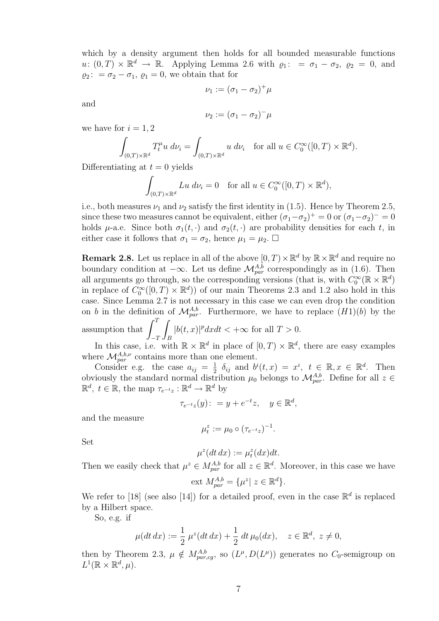which by a density argument then holds for all bounded measurable functions  $u: (0,T) \times \mathbb{R}^d \to \mathbb{R}$ . Applying Lemma 2.6 with  $\varrho_1: = \sigma_1 - \sigma_2$ ,  $\varrho_2 = 0$ , and  $\varrho_2$ : =  $\sigma_2 - \sigma_1$ ,  $\varrho_1 = 0$ , we obtain that for

$$
\nu_1:=(\sigma_1-\sigma_2)^+\mu
$$

and

$$
\nu_2 := (\sigma_1 - \sigma_2)^{-} \mu
$$

we have for  $i = 1, 2$ 

$$
\int_{(0,T)\times\mathbb{R}^d} T_t^{\mu} u \, d\nu_i = \int_{(0,T)\times\mathbb{R}^d} u \, d\nu_i \quad \text{for all } u \in C_0^{\infty}([0,T)\times\mathbb{R}^d).
$$

Differentiating at  $t = 0$  yields

$$
\int_{(0,T)\times\mathbb{R}^d} Lu\ d\nu_i = 0 \quad \text{for all } u \in C_0^{\infty}([0,T)\times\mathbb{R}^d),
$$

i.e., both measures  $\nu_1$  and  $\nu_2$  satisfy the first identity in (1.5). Hence by Theorem 2.5, since these two measures cannot be equivalent, either  $(\sigma_1 - \sigma_2)^+ = 0$  or  $(\sigma_1 - \sigma_2)^- = 0$ holds  $\mu$ -a.e. Since both  $\sigma_1(t, \cdot)$  and  $\sigma_2(t, \cdot)$  are probability densities for each t, in either case it follows that  $\sigma_1 = \sigma_2$ , hence  $\mu_1 = \mu_2$ .  $\Box$ 

**Remark 2.8.** Let us replace in all of the above  $[0, T) \times \mathbb{R}^d$  by  $\mathbb{R} \times \mathbb{R}^d$  and require no boundary condition at  $-\infty$ . Let us define  $\mathcal{M}_{par}^{A,b}$  correspondingly as in (1.6). Then all arguments go through, so the corresponding versions (that is, with  $C_0^{\infty}(\mathbb{R} \times \mathbb{R}^d)$ in replace of  $C_0^{\infty}([0,T) \times \mathbb{R}^d)$  of our main Theorems 2.3 and 1.2 also hold in this case. Since Lemma 2.7 is not necessary in this case we can even drop the condition on b in the definition of  $\mathcal{M}_{par}^{A,b}$ . Furthermore, we have to replace  $(H1)(b)$  by the assumption that  $\int_1^T$ z  $|b(t, x)|^p dx dt < +\infty$  for all  $T > 0$ .

 $-T$ B In this case, i.e. with  $\mathbb{R} \times \mathbb{R}^d$  in place of  $[0, T) \times \mathbb{R}^d$ , there are easy examples where  $\mathcal{M}_{par}^{A,b,\nu}$  contains more than one element.

Consider e.g. the case  $a_{ij} = \frac{1}{2}$  $\frac{1}{2}$   $\delta_{ij}$  and  $b^i(t, x) = x^i$ ,  $t \in \mathbb{R}, x \in \mathbb{R}^d$ . Then obviously the standard normal distribution  $\mu_0$  belongs to  $\mathcal{M}_{par}^{A,b}$ . Define for all  $z \in$  $\mathbb{R}^d$ ,  $t \in \mathbb{R}$ , the map  $\tau_{e^{-t}z} : \mathbb{R}^d \to \mathbb{R}^d$  by

$$
\tau_{e^{-t}z}(y): = y + e^{-t}z, \quad y \in \mathbb{R}^d,
$$

and the measure

$$
\mu_t^z := \mu_0 \circ (\tau_{e^{-t}z})^{-1}.
$$

Set

$$
\mu^z(dt\,dx) := \mu^z_t(dx)dt.
$$

Then we easily check that  $\mu^z \in M_{par}^{A,b}$  for all  $z \in \mathbb{R}^d$ . Moreover, in this case we have

ext 
$$
M_{par}^{A,b} = {\mu^z | z \in \mathbb{R}^d}.
$$

We refer to [18] (see also [14]) for a detailed proof, even in the case  $\mathbb{R}^d$  is replaced by a Hilbert space.

So, e.g. if

$$
\mu(dt\,dx) := \frac{1}{2}\,\mu^z(dt\,dx) + \frac{1}{2}\,dt\,\mu_0(dx), \quad z \in \mathbb{R}^d, \ z \neq 0,
$$

then by Theorem 2.3,  $\mu \notin M_{par,cg}^{A,b}$ , so  $(L^{\mu}, D(L^{\mu}))$  generates no  $C_0$ -semigroup on  $L^1(\mathbb{R} \times \mathbb{R}^d, \mu).$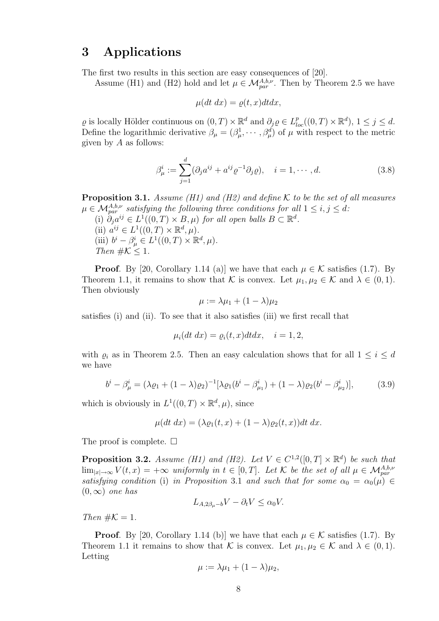## 3 Applications

The first two results in this section are easy consequences of [20].

Assume (H1) and (H2) hold and let  $\mu \in \mathcal{M}_{par}^{A,b,\nu}$ . Then by Theorem 2.5 we have

$$
\mu(dt\ dx) = \varrho(t,x)dtdx,
$$

 $\varrho$  is locally Hölder continuous on  $(0, T) \times \mathbb{R}^d$  and  $\partial_j \varrho \in L^p_{loc}((0, T) \times \mathbb{R}^d)$ ,  $1 \leq j \leq d$ . Define the logarithmic derivative  $\beta_{\mu} = (\beta_{\mu}^1, \cdots, \beta_{\mu}^d)$  of  $\mu$  with respect to the metric given by  $A$  as follows:

$$
\beta_{\mu}^{i} := \sum_{j=1}^{d} (\partial_{j} a^{ij} + a^{ij} \varrho^{-1} \partial_{j} \varrho), \quad i = 1, \cdots, d.
$$
 (3.8)

**Proposition 3.1.** Assume (H1) and (H2) and define K to be the set of all measures  $\mu\in \mathcal{M}_{par}^{A,b,\nu}$  satisfying the following three conditions for all  $1\leq i,j\leq d$ . (i)  $\partial_j a^{ij} \in L^1((0,T) \times B, \mu)$  for all open balls  $B \subset \mathbb{R}^d$ . (ii)  $a^{ij} \in L^1((0,T) \times \mathbb{R}^d, \mu)$ . (iii)  $b^i - \beta^i_\mu \in L^1((0,T) \times \mathbb{R}^d, \mu)$ .

**Proof.** By [20, Corollary 1.14 (a)] we have that each  $\mu \in \mathcal{K}$  satisfies (1.7). By Theorem 1.1, it remains to show that K is convex. Let  $\mu_1, \mu_2 \in \mathcal{K}$  and  $\lambda \in (0,1)$ . Then obviously

$$
\mu := \lambda \mu_1 + (1 - \lambda) \mu_2
$$

satisfies (i) and (ii). To see that it also satisfies (iii) we first recall that

$$
\mu_i(dt\ dx) = \varrho_i(t,x)dtdx, \quad i = 1,2,
$$

with  $\varrho_i$  as in Theorem 2.5. Then an easy calculation shows that for all  $1 \leq i \leq d$ we have

$$
b^{i} - \beta_{\mu}^{i} = (\lambda \varrho_{1} + (1 - \lambda)\varrho_{2})^{-1} [\lambda \varrho_{1} (b^{i} - \beta_{\mu_{1}}^{i}) + (1 - \lambda)\varrho_{2} (b^{i} - \beta_{\mu_{2}}^{i})],
$$
 (3.9)

which is obviously in  $L^1((0,T) \times \mathbb{R}^d, \mu)$ , since

$$
\mu(dt\ dx) = (\lambda \varrho_1(t,x) + (1-\lambda)\varrho_2(t,x))dt\ dx.
$$

The proof is complete.  $\square$ 

Then  $\#\mathcal{K} \leq 1$ .

**Proposition 3.2.** Assume (H1) and (H2). Let  $V \in C^{1,2}([0,T] \times \mathbb{R}^d)$  be such that  $\lim_{|x|\to\infty} V(t,x) = +\infty$  uniformly in  $t \in [0,T]$ . Let K be the set of all  $\mu \in \mathcal{M}_{par}^{A,b,\nu}$ satisfying condition (i) in Proposition 3.1 and such that for some  $\alpha_0 = \alpha_0(\mu) \in$  $(0, \infty)$  one has

$$
L_{A,2\beta_{\mu}-b}V - \partial_{t}V \leq \alpha_{0}V.
$$

Then  $\#\mathcal{K}=1$ .

**Proof.** By [20, Corollary 1.14 (b)] we have that each  $\mu \in \mathcal{K}$  satisfies (1.7). By Theorem 1.1 it remains to show that K is convex. Let  $\mu_1, \mu_2 \in \mathcal{K}$  and  $\lambda \in (0,1)$ . Letting

$$
\mu := \lambda \mu_1 + (1 - \lambda) \mu_2,
$$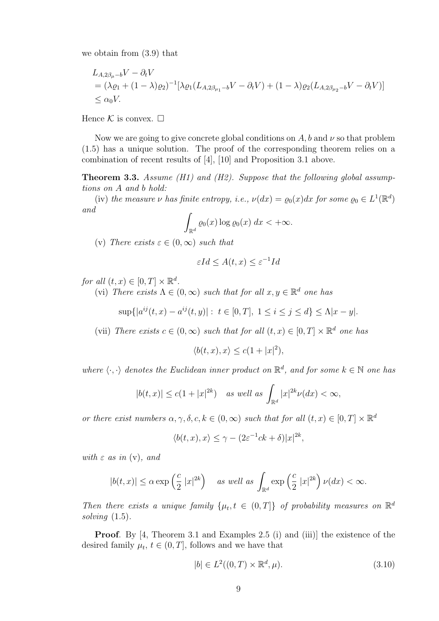we obtain from (3.9) that

$$
L_{A,2\beta_{\mu}-b}V - \partial_t V
$$
  
=  $(\lambda \varrho_1 + (1 - \lambda)\varrho_2)^{-1} [\lambda \varrho_1 (L_{A,2\beta_{\mu_1}-b}V - \partial_t V) + (1 - \lambda)\varrho_2 (L_{A,2\beta_{\mu_2}-b}V - \partial_t V)]$   
\$\leq \alpha\_0 V\$.

Hence  $\mathcal K$  is convex.  $\square$ 

Now we are going to give concrete global conditions on  $A$ , b and  $\nu$  so that problem (1.5) has a unique solution. The proof of the corresponding theorem relies on a combination of recent results of [4], [10] and Proposition 3.1 above.

**Theorem 3.3.** Assume (H1) and (H2). Suppose that the following global assumptions on A and b hold:

(iv) the measure  $\nu$  has finite entropy, i.e.,  $\nu(dx) = \varrho_0(x) dx$  for some  $\varrho_0 \in L^1(\mathbb{R}^d)$ and

$$
\int_{\mathbb{R}^d} \varrho_0(x) \log \varrho_0(x) \, dx < +\infty.
$$

(v) There exists  $\varepsilon \in (0,\infty)$  such that

$$
\varepsilon Id \le A(t, x) \le \varepsilon^{-1} Id
$$

for all  $(t, x) \in [0, T] \times \mathbb{R}^d$ .

(vi) There exists  $\Lambda \in (0,\infty)$  such that for all  $x, y \in \mathbb{R}^d$  one has

 $\sup\{|a^{ij}(t,x)-a^{ij}(t,y)|: t \in [0,T], 1 \le i \le j \le d\} \le \Lambda |x-y|.$ 

(vii) There exists  $c \in (0, \infty)$  such that for all  $(t, x) \in [0, T] \times \mathbb{R}^d$  one has

$$
\langle b(t, x), x \rangle \le c(1 + |x|^2),
$$

where  $\langle \cdot, \cdot \rangle$  denotes the Euclidean inner product on  $\mathbb{R}^d$ , and for some  $k \in \mathbb{N}$  one has

$$
|b(t,x)| \le c(1+|x|^{2k}) \quad \text{as well as } \int_{\mathbb{R}^d} |x|^{2k} \nu(dx) < \infty,
$$

or there exist numbers  $\alpha, \gamma, \delta, c, k \in (0, \infty)$  such that for all  $(t, x) \in [0, T] \times \mathbb{R}^d$ 

$$
\langle b(t,x),x\rangle\leq \gamma-(2\varepsilon^{-1}ck+\delta)|x|^{2k},
$$

with  $\varepsilon$  as in (y), and

$$
|b(t,x)| \le \alpha \exp\left(\frac{c}{2} |x|^{2k}\right) \quad \text{as well as } \int_{\mathbb{R}^d} \exp\left(\frac{c}{2} |x|^{2k}\right) \nu(dx) < \infty.
$$

Then there exists a unique family  $\{\mu_t, t \in (0,T]\}$  of probability measures on  $\mathbb{R}^d$ solving  $(1.5)$ .

Proof. By [4, Theorem 3.1 and Examples 2.5 (i) and (iii)] the existence of the desired family  $\mu_t$ ,  $t \in (0, T]$ , follows and we have that

$$
|b| \in L^2((0,T) \times \mathbb{R}^d, \mu). \tag{3.10}
$$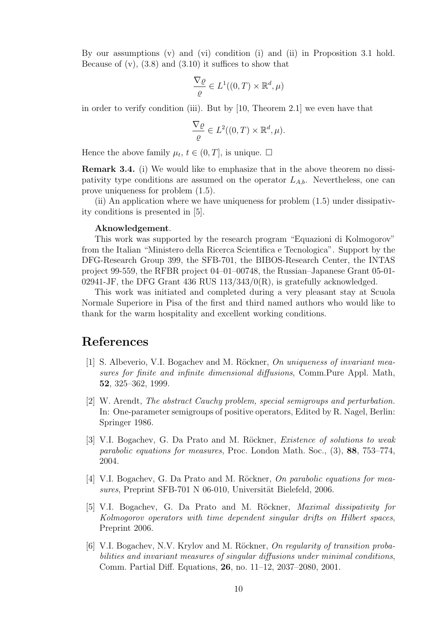By our assumptions  $(v)$  and  $(vi)$  condition  $(i)$  and  $(ii)$  in Proposition 3.1 hold. Because of  $(v)$ ,  $(3.8)$  and  $(3.10)$  it suffices to show that

$$
\frac{\nabla \varrho}{\varrho} \in L^1((0,T) \times \mathbb{R}^d, \mu)
$$

in order to verify condition (iii). But by [10, Theorem 2.1] we even have that

$$
\frac{\nabla \varrho}{\varrho} \in L^2((0,T) \times \mathbb{R}^d, \mu).
$$

Hence the above family  $\mu_t$ ,  $t \in (0, T]$ , is unique.  $\Box$ 

Remark 3.4. (i) We would like to emphasize that in the above theorem no dissipativity type conditions are assumed on the operator  $L_{A,b}$ . Nevertheless, one can prove uniqueness for problem (1.5).

(ii) An application where we have uniqueness for problem (1.5) under dissipativity conditions is presented in [5].

#### Aknowledgement.

This work was supported by the research program "Equazioni di Kolmogorov" from the Italian "Ministero della Ricerca Scientifica e Tecnologica". Support by the DFG-Research Group 399, the SFB-701, the BIBOS-Research Center, the INTAS project 99-559, the RFBR project 04–01–00748, the Russian–Japanese Grant 05-01- 02941-JF, the DFG Grant 436 RUS  $113/343/0(R)$ , is gratefully acknowledged.

This work was initiated and completed during a very pleasant stay at Scuola Normale Superiore in Pisa of the first and third named authors who would like to thank for the warm hospitality and excellent working conditions.

## References

- [1] S. Albeverio, V.I. Bogachev and M. Röckner, On uniqueness of invariant measures for finite and infinite dimensional diffusions, Comm.Pure Appl. Math, 52, 325–362, 1999.
- [2] W. Arendt, The abstract Cauchy problem, special semigroups and perturbation. In: One-parameter semigroups of positive operators, Edited by R. Nagel, Berlin: Springer 1986.
- [3] V.I. Bogachev, G. Da Prato and M. Röckner, *Existence of solutions to weak* parabolic equations for measures, Proc. London Math. Soc., (3), 88, 753–774, 2004.
- [4] V.I. Bogachev, G. Da Prato and M. Röckner, On parabolic equations for measures, Preprint SFB-701 N 06-010, Universität Bielefeld, 2006.
- [5] V.I. Bogachev, G. Da Prato and M. Röckner, *Maximal dissipativity for* Kolmogorov operators with time dependent singular drifts on Hilbert spaces, Preprint 2006.
- [6] V.I. Bogachev, N.V. Krylov and M. Röckner, On regularity of transition probabilities and invariant measures of singular diffusions under minimal conditions, Comm. Partial Diff. Equations, 26, no. 11–12, 2037–2080, 2001.